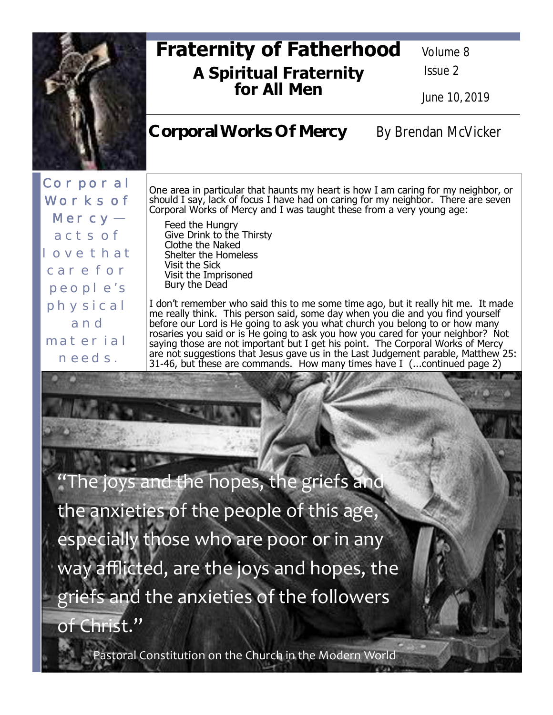

# **Fraternity of Fatherhood A Spiritual Fraternity for All Men**

Volume 8

Issue 2

June 10, 2019

# Corporal Works Of Mercy By Brendan McVicker

Corporal Works of Mercyacts of love that care for people's physical and material needs.

One area in particular that haunts my heart is how I am caring for my neighbor, or should I say, lack of focus I have had on caring for my neighbor. There are seven Corporal Works of Mercy and I was taught these from a very young age:

 Feed the Hungry Give Drink to the Thirsty Clothe the Naked Shelter the Homeless Visit the Sick Visit the Imprisoned Bury the Dead

I don't remember who said this to me some time ago, but it really hit me. It made me really think. This person said, some day when you die and you find yourself before our Lord is He going to ask you what church you belong to or how many rosaries you said or is He going to ask you how you cared for your neighbor? Not saying those are not important but I get his point. The Corporal Works of Mercy are not suggestions that Jesus gave us in the Last Judgement parable, Matthew 25: 31-46, but these are commands. How many times have I (...continued page 2)

he joys a<del>nd th</del>e hopes, the griefs and the anxieties of the people of this age, especially those who are poor or in any way afflicted, are the joys and hopes, the griefs and the anxieties of the followers of Christ."

Pastoral Constitution on the Church in the Modern World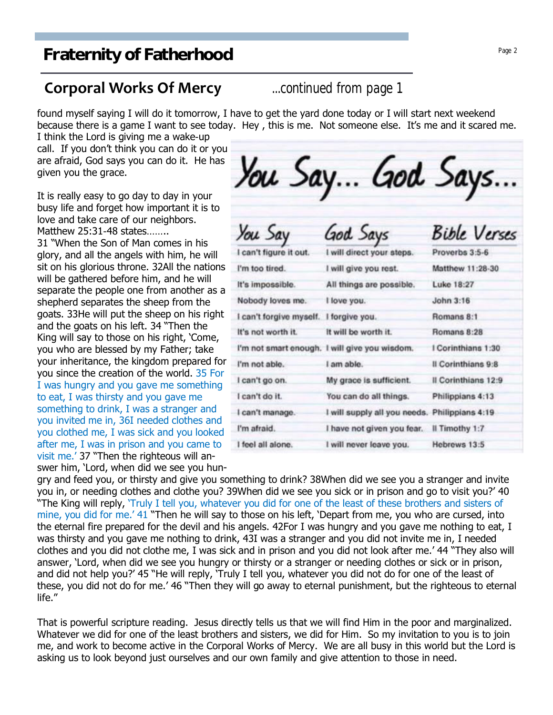### **Corporal Works Of Mercy** *...continued from page 1*

found myself saying I will do it tomorrow, I have to get the yard done today or I will start next weekend because there is a game I want to see today. Hey , this is me. Not someone else. It's me and it scared me.

I think the Lord is giving me a wake-up call. If you don't think you can do it or you are afraid, God says you can do it. He has given you the grace.

It is really easy to go day to day in your busy life and forget how important it is to love and take care of our neighbors. Matthew 25:31-48 states…….. 31 "When the Son of Man comes in his glory, and all the angels with him, he will sit on his glorious throne. 32All the nations will be gathered before him, and he will separate the people one from another as a shepherd separates the sheep from the goats. 33He will put the sheep on his right and the goats on his left. 34 "Then the King will say to those on his right, 'Come, you who are blessed by my Father; take your inheritance, the kingdom prepared for you since the creation of the world. 35 For I was hungry and you gave me something to eat, I was thirsty and you gave me something to drink, I was a stranger and you invited me in, 36I needed clothes and you clothed me, I was sick and you looked after me, I was in prison and you came to visit me.' 37 "Then the righteous will answer him, 'Lord, when did we see you hun-

You Say... God Says...

| You Say                 | God Says                                      | <b>Bible Verses</b> |  |
|-------------------------|-----------------------------------------------|---------------------|--|
| I can't figure it out.  | I will direct your steps.                     | Proverbs 3:5-6      |  |
| I'm too tired.          | I will give you rest.                         | Matthew 11:28-30    |  |
| It's impossible.        | All things are possible.                      | Luke 18:27          |  |
| Nobody loves me.        | I love you.                                   | John 3:16           |  |
| I can't forgive myself. | I forgive you.                                | Romans 8:1          |  |
| It's not worth it.      | It will be worth it.                          | Romans 8:28         |  |
|                         | I'm not smart enough. I will give you wisdom. | I Corinthians 1:30  |  |
| I'm not able.           | I am able.                                    | Il Corinthians 9:8  |  |
| I can't go on.          | My grace is sufficient.                       | Il Corinthians 12:9 |  |
| I can't do it.          | You can do all things.                        | Philippians 4:13    |  |
| I can't manage.         | I will supply all you needs.                  | Philippians 4:19    |  |
| I'm afraid.             | I have not given you fear.                    | Il Timothy 1:7      |  |
| I feel all alone.       | I will never leave you.                       | Hebrews 13:5        |  |

gry and feed you, or thirsty and give you something to drink? 38When did we see you a stranger and invite you in, or needing clothes and clothe you? 39When did we see you sick or in prison and go to visit you?' 40 "The King will reply, 'Truly I tell you, whatever you did for one of the least of these brothers and sisters of mine, you did for me.' 41 "Then he will say to those on his left, 'Depart from me, you who are cursed, into the eternal fire prepared for the devil and his angels. 42For I was hungry and you gave me nothing to eat, I was thirsty and you gave me nothing to drink, 43I was a stranger and you did not invite me in, I needed clothes and you did not clothe me, I was sick and in prison and you did not look after me.' 44 "They also will answer, 'Lord, when did we see you hungry or thirsty or a stranger or needing clothes or sick or in prison, and did not help you?' 45 "He will reply, 'Truly I tell you, whatever you did not do for one of the least of these, you did not do for me.' 46 "Then they will go away to eternal punishment, but the righteous to eternal life."

That is powerful scripture reading. Jesus directly tells us that we will find Him in the poor and marginalized. Whatever we did for one of the least brothers and sisters, we did for Him. So my invitation to you is to join me, and work to become active in the Corporal Works of Mercy. We are all busy in this world but the Lord is asking us to look beyond just ourselves and our own family and give attention to those in need.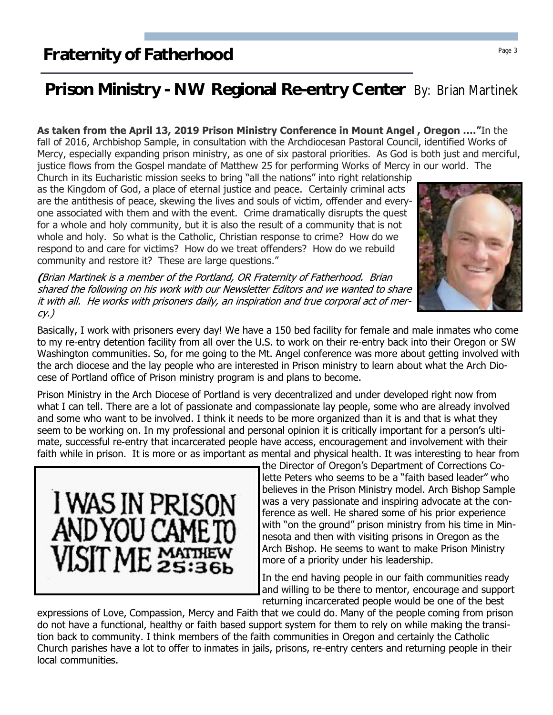# **Prison Ministry - NW Regional Re-entry Center** By: Brian Martinek

**As taken from the April 13, 2019 Prison Ministry Conference in Mount Angel , Oregon …."**In the fall of 2016, Archbishop Sample, in consultation with the Archdiocesan Pastoral Council, identified Works of Mercy, especially expanding prison ministry, as one of six pastoral priorities. As God is both just and merciful, justice flows from the Gospel mandate of Matthew 25 for performing Works of Mercy in our world. The

Church in its Eucharistic mission seeks to bring "all the nations" into right relationship as the Kingdom of God, a place of eternal justice and peace. Certainly criminal acts are the antithesis of peace, skewing the lives and souls of victim, offender and everyone associated with them and with the event. Crime dramatically disrupts the quest for a whole and holy community, but it is also the result of a community that is not whole and holy. So what is the Catholic, Christian response to crime? How do we respond to and care for victims? How do we treat offenders? How do we rebuild community and restore it? These are large questions."

**(**Brian Martinek is a member of the Portland, OR Fraternity of Fatherhood. Brian shared the following on his work with our Newsletter Editors and we wanted to share it with all. He works with prisoners daily, an inspiration and true corporal act of mer $cy.$ )

Basically, I work with prisoners every day! We have a 150 bed facility for female and male inmates who come to my re-entry detention facility from all over the U.S. to work on their re-entry back into their Oregon or SW Washington communities. So, for me going to the Mt. Angel conference was more about getting involved with the arch diocese and the lay people who are interested in Prison ministry to learn about what the Arch Diocese of Portland office of Prison ministry program is and plans to become.

Prison Ministry in the Arch Diocese of Portland is very decentralized and under developed right now from what I can tell. There are a lot of passionate and compassionate lay people, some who are already involved and some who want to be involved. I think it needs to be more organized than it is and that is what they seem to be working on. In my professional and personal opinion it is critically important for a person's ultimate, successful re-entry that incarcerated people have access, encouragement and involvement with their faith while in prison. It is more or as important as mental and physical health. It was interesting to hear from

> the Director of Oregon's Department of Corrections Colette Peters who seems to be a "faith based leader" who believes in the Prison Ministry model. Arch Bishop Sample was a very passionate and inspiring advocate at the conference as well. He shared some of his prior experience with "on the ground" prison ministry from his time in Minnesota and then with visiting prisons in Oregon as the Arch Bishop. He seems to want to make Prison Ministry more of a priority under his leadership.

> In the end having people in our faith communities ready and willing to be there to mentor, encourage and support returning incarcerated people would be one of the best

expressions of Love, Compassion, Mercy and Faith that we could do. Many of the people coming from prison do not have a functional, healthy or faith based support system for them to rely on while making the transition back to community. I think members of the faith communities in Oregon and certainly the Catholic Church parishes have a lot to offer to inmates in jails, prisons, re-entry centers and returning people in their local communities.



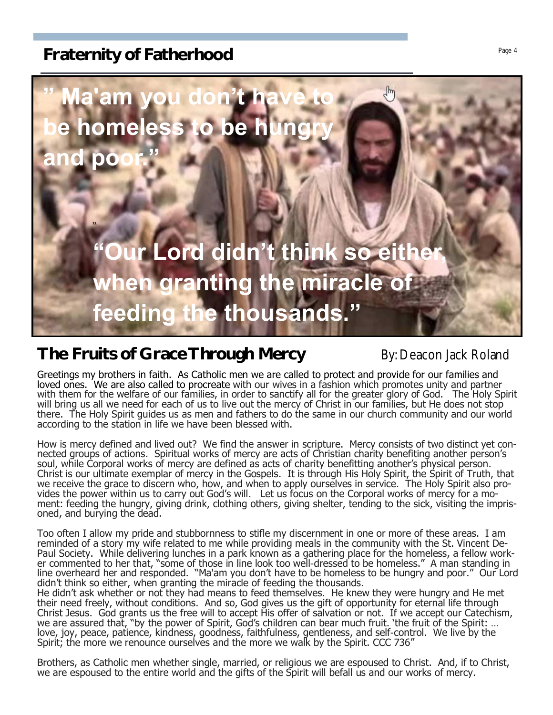

# **The Fruits of Grace Through Mercy By: Deacon Jack Roland**

Greetings my brothers in faith. As Catholic men we are called to protect and provide for our families and loved ones. We are also called to procreate with our wives in a fashion which promotes unity and partner with them for the welfare of our families, in order to sanctify all for the greater glory of God. The Holy Spirit will bring us all we need for each of us to live out the mercy of Christ in our families, but He does not stop there. The Holy Spirit guides us as men and fathers to do the same in our church community and our world according to the station in life we have been blessed with.

How is mercy defined and lived out? We find the answer in scripture. Mercy consists of two distinct yet connected groups of actions. Spiritual works of mercy are acts of Christian charity benefiting another person's soul, while Corporal works of mercy are defined as acts of charity benefitting another's physical person. Christ is our ultimate exemplar of mercy in the Gospels. It is through His Holy Spirit, the Spirit of Truth, that we receive the grace to discern who, how, and when to apply ourselves in service. The Holy Spirit also provides the power within us to carry out God's will. Let us focus on the Corporal works of mercy for a moment: feeding the hungry, giving drink, clothing others, giving shelter, tending to the sick, visiting the imprisoned, and burying the dead.

Too often I allow my pride and stubbornness to stifle my discernment in one or more of these areas. I am reminded of a story my wife related to me while providing meals in the community with the St. Vincent De-Paul Society. While delivering lunches in a park known as a gathering place for the homeless, a fellow worker commented to her that, "some of those in line look too well-dressed to be homeless." A man standing in line overheard her and responded. "Ma'am you don't have to be homeless to be hungry and poor." Our Lord didn't think so either, when granting the miracle of feeding the thousands.

He didn't ask whether or not they had means to feed themselves. He knew they were hungry and He met their need freely, without conditions. And so, God gives us the gift of opportunity for eternal life through Christ Jesus. God grants us the free will to accept His offer of salvation or not. If we accept our Catechism, we are assured that, "by the power of Spirit, God's children can bear much fruit. 'the fruit of the Spirit: … love, joy, peace, patience, kindness, goodness, faithfulness, gentleness, and self-control. We live by the Spirit; the more we renounce ourselves and the more we walk by the Spirit. CCC 736"

Brothers, as Catholic men whether single, married, or religious we are espoused to Christ. And, if to Christ, we are espoused to the entire world and the gifts of the Spirit will befall us and our works of mercy.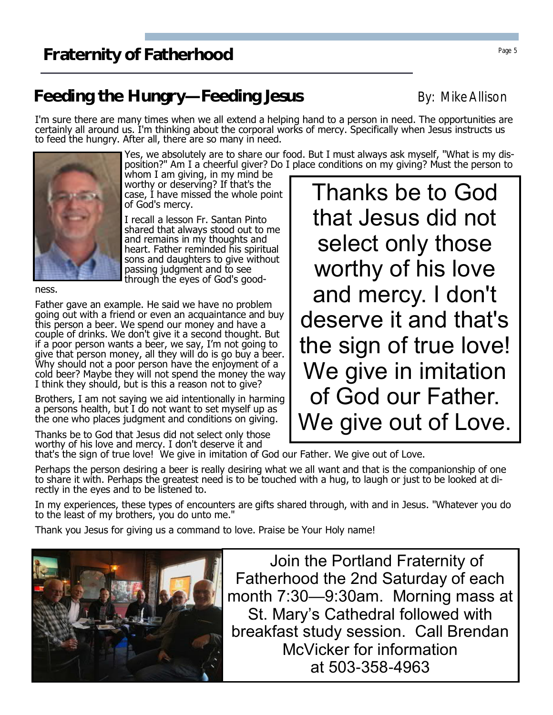# **Feeding the Hungry—Feeding Jesus** By: Mike Allison

I'm sure there are many times when we all extend a helping hand to a person in need. The opportunities are certainly all around us. I'm thinking about the corporal works of mercy. Specifically when Jesus instructs us to feed the hungry. After all, there are so many in need.

worthy or deserving? If that's the case, I have missed the whole point of God's mercy. I recall a lesson Fr. Santan Pinto shared that always stood out to me and remains in my thoughts and heart. Father reminded his spiritual sons and daughters to give without passing judgment and to see

Yes, we absolutely are to share our food. But I must always ask myself, "What is my disposition?" Am I a cheerful giver? Do I place conditions on my giving? Must the person to whom I am giving, in my mind be

> Thanks be to God that Jesus did not select only those worthy of his love and mercy. I don't deserve it and that's the sign of true love! We give in imitation of God our Father. We give out of Love.

ness.

Father gave an example. He said we have no problem going out with a friend or even an acquaintance and buy this person a beer. We spend our money and have a couple of drinks. We don't give it a second thought. But if a poor person wants a beer, we say, I'm not going to give that person money, all they will do is go buy a beer. Why should not a poor person have the enjoyment of a cold beer? Maybe they will not spend the money the way I think they should, but is this a reason not to give?

Brothers, I am not saying we aid intentionally in harming a persons health, but I do not want to set myself up as the one who places judgment and conditions on giving.

Thanks be to God that Jesus did not select only those worthy of his love and mercy. I don't deserve it and

that's the sign of true love! We give in imitation of God our Father. We give out of Love.

Perhaps the person desiring a beer is really desiring what we all want and that is the companionship of one to share it with. Perhaps the greatest need is to be touched with a hug, to laugh or just to be looked at directly in the eyes and to be listened to.

In my experiences, these types of encounters are gifts shared through, with and in Jesus. "Whatever you do to the least of my brothers, you do unto me."

Thank you Jesus for giving us a command to love. Praise be Your Holy name!

 Join the Portland Fraternity of Fatherhood the 2nd Saturday of each month 7:30—9:30am. Morning mass at St. Mary's Cathedral followed with breakfast study session. Call Brendan McVicker for information at 503-358-4963



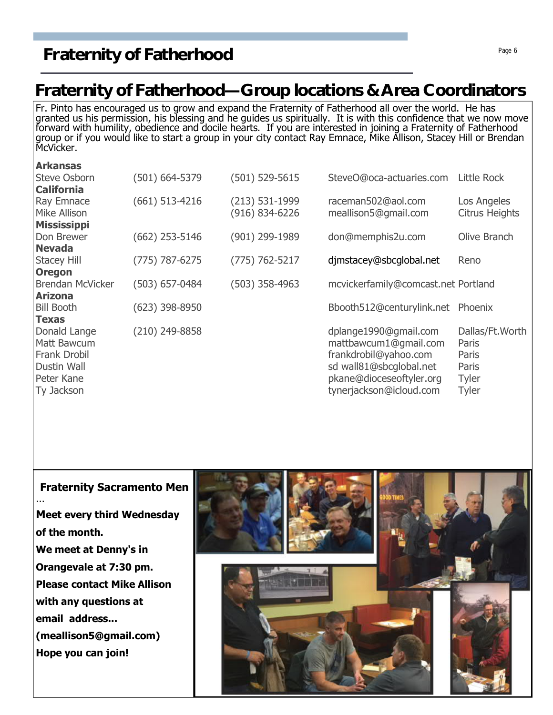# **Fraternity of Fatherhood** Page 6 **Page 6**

# **Fraternity of Fatherhood—Group locations & Area Coordinators**

Fr. Pinto has encouraged us to grow and expand the Fraternity of Fatherhood all over the world. He has granted us his permission, his blessing and he guides us spiritually. It is with this confidence that we now move forward with humility, obedience and docile hearts. If you are interested in joining a Fraternity of Fatherhood group or if you would like to start a group in your city contact Ray Emnace, Mike Allison, Stacey Hill or Brendan McVicker.

| <b>Arkansas</b>         |                    |                |                                     |                       |
|-------------------------|--------------------|----------------|-------------------------------------|-----------------------|
| <b>Steve Osborn</b>     | $(501) 664 - 5379$ | (501) 529-5615 | SteveO@oca-actuaries.com            | Little Rock           |
| <b>California</b>       |                    |                |                                     |                       |
| Ray Emnace              | $(661)$ 513-4216   | (213) 531-1999 | raceman502@aol.com                  | Los Angeles           |
| Mike Allison            |                    | (916) 834-6226 | meallison5@gmail.com                | <b>Citrus Heights</b> |
| <b>Mississippi</b>      |                    |                |                                     |                       |
| Don Brewer              | $(662)$ 253-5146   | (901) 299-1989 | don@memphis2u.com                   | Olive Branch          |
| <b>Nevada</b>           |                    |                |                                     |                       |
| <b>Stacey Hill</b>      | $(775) 787 - 6275$ | (775) 762-5217 | djmstacey@sbcglobal.net             | Reno                  |
| <b>Oregon</b>           |                    |                |                                     |                       |
| <b>Brendan McVicker</b> | $(503) 657 - 0484$ | (503) 358-4963 | mcvickerfamily@comcast.net Portland |                       |
| <b>Arizona</b>          |                    |                |                                     |                       |
| <b>Bill Booth</b>       | $(623)$ 398-8950   |                | Bbooth512@centurylink.net           | Phoenix               |
| <b>Texas</b>            |                    |                |                                     |                       |
| Donald Lange            | (210) 249-8858     |                | dplange1990@gmail.com               | Dallas/Ft. Worth      |
| Matt Bawcum             |                    |                | mattbawcum1@gmail.com               | Paris                 |
| Frank Drobil            |                    |                | frankdrobil@yahoo.com               | Paris                 |
| Dustin Wall             |                    |                | sd wall81@sbcglobal.net             | Paris                 |
| Peter Kane              |                    |                | pkane@dioceseoftyler.org            | <b>Tyler</b>          |
| Ty Jackson              |                    |                | tynerjackson@icloud.com             | <b>Tyler</b>          |
|                         |                    |                |                                     |                       |

#### **Fraternity Sacramento Men**

…

**Meet every third Wednesday of the month. We meet at Denny's in Orangevale at 7:30 pm. Please contact Mike Allison with any questions at email address... (meallison5@gmail.com) Hope you can join!**

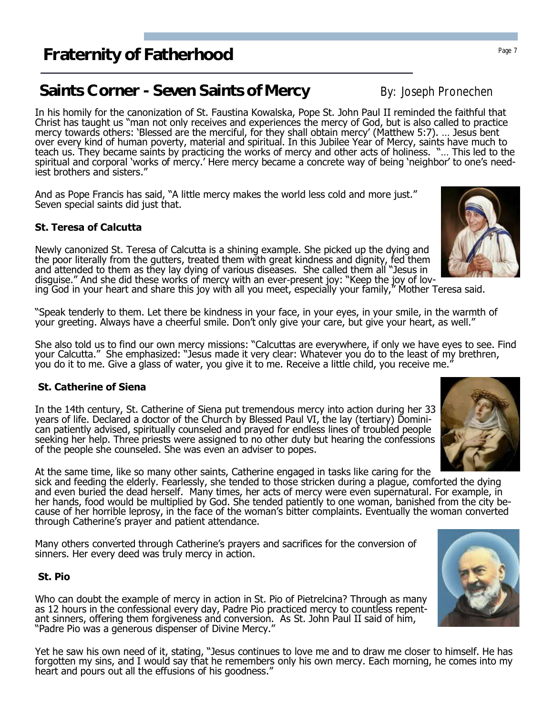## **Saints Corner - Seven Saints of Mercy By: Joseph Pronechen**

In his homily for the canonization of St. Faustina Kowalska, Pope St. John Paul II reminded the faithful that Christ has taught us "man not only receives and experiences the mercy of God, but is also called to practice mercy towards others: 'Blessed are the merciful, for they shall obtain mercy' (Matthew 5:7). … Jesus bent over every kind of human poverty, material and spiritual. In this Jubilee Year of Mercy, saints have much to teach us. They became saints by practicing the works of mercy and other acts of holiness. "… This led to the spiritual and corporal 'works of mercy.' Here mercy became a concrete way of being 'neighbor' to one's neediest brothers and sisters."

And as Pope Francis has said, "A little mercy makes the world less cold and more just." Seven special saints did just that.

### **St. Teresa of Calcutta**

Newly canonized St. Teresa of Calcutta is a shining example. She picked up the dying and the poor literally from the gutters, treated them with great kindness and dignity, fed them and attended to them as they lay dying of various diseases. She called them all "Jesus in disguise." And she did these works of mercy with an ever-present joy: "Keep the joy of lov-

ing God in your heart and share this joy with all you meet, especially your family," Mother Teresa said.

"Speak tenderly to them. Let there be kindness in your face, in your eyes, in your smile, in the warmth of your greeting. Always have a cheerful smile. Don't only give your care, but give your heart, as well."

She also told us to find our own mercy missions: "Calcuttas are everywhere, if only we have eyes to see. Find your Calcutta." She emphasized: "Jesus made it very clear: Whatever you do to the least of my brethren, you do it to me. Give a glass of water, you give it to me. Receive a little child, you receive me."

### **St. Catherine of Siena**

In the 14th century, St. Catherine of Siena put tremendous mercy into action during her 33 years of life. Declared a doctor of the Church by Blessed Paul VI, the lay (tertiary) Dominican patiently advised, spiritually counseled and prayed for endless lines of troubled people seeking her help. Three priests were assigned to no other duty but hearing the confessions of the people she counseled. She was even an adviser to popes.

At the same time, like so many other saints, Catherine engaged in tasks like caring for the sick and feeding the elderly. Fearlessly, she tended to those stricken during a plague, comforted the dying and even buried the dead herself. Many times, her acts of mercy were even supernatural. For example, in her hands, food would be multiplied by God. She tended patiently to one woman, banished from the city because of her horrible leprosy, in the face of the woman's bitter complaints. Eventually the woman converted through Catherine's prayer and patient attendance.

Many others converted through Catherine's prayers and sacrifices for the conversion of sinners. Her every deed was truly mercy in action.

#### **St. Pio**

Who can doubt the example of mercy in action in St. Pio of Pietrelcina? Through as many as 12 hours in the confessional every day, Padre Pio practiced mercy to countless repentant sinners, offering them forgiveness and conversion. As St. John Paul II said of him, "Padre Pio was a generous dispenser of Divine Mercy."

Yet he saw his own need of it, stating, "Jesus continues to love me and to draw me closer to himself. He has forgotten my sins, and I would say that he remembers only his own mercy. Each morning, he comes into my heart and pours out all the effusions of his goodness."





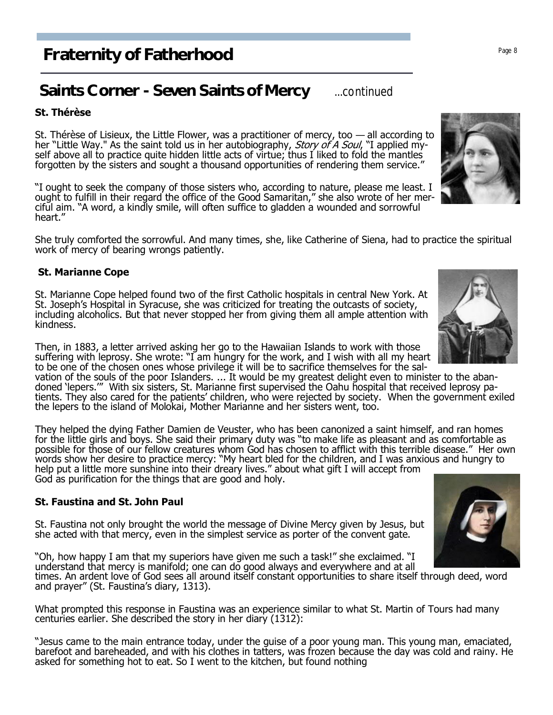# **Saints Corner - Seven Saints of Mercy** ...continued

### **St. Thérèse**

St. Thérèse of Lisieux, the Little Flower, was a practitioner of mercy, too — all according to her "Little Way." As the saint told us in her autobiography, Story of A Soul, "I applied myself above all to practice quite hidden little acts of virtue; thus I liked to fold the mantles forgotten by the sisters and sought a thousand opportunities of rendering them service."

"I ought to seek the company of those sisters who, according to nature, please me least. I ought to fulfill in their regard the office of the Good Samaritan," she also wrote of her merciful aim. "A word, a kindly smile, will often suffice to gladden a wounded and sorrowful heart."

She truly comforted the sorrowful. And many times, she, like Catherine of Siena, had to practice the spiritual work of mercy of bearing wrongs patiently.

### **St. Marianne Cope**

St. Marianne Cope helped found two of the first Catholic hospitals in central New York. At St. Joseph's Hospital in Syracuse, she was criticized for treating the outcasts of society, including alcoholics. But that never stopped her from giving them all ample attention with kindness.

Then, in 1883, a letter arrived asking her go to the Hawaiian Islands to work with those suffering with leprosy. She wrote: "I am hungry for the work, and I wish with all my heart to be one of the chosen ones whose privilege it will be to sacrifice themselves for the sal-

vation of the souls of the poor Islanders. ... It would be my greatest delight even to minister to the abandoned 'lepers.'" With six sisters, St. Marianne first supervised the Oahu hospital that received leprosy patients. They also cared for the patients' children, who were rejected by society. When the government exiled the lepers to the island of Molokai, Mother Marianne and her sisters went, too.

They helped the dying Father Damien de Veuster, who has been canonized a saint himself, and ran homes for the little girls and boys. She said their primary duty was "to make life as pleasant and as comfortable as possible for those of our fellow creatures whom God has chosen to afflict with this terrible disease." Her own words show her desire to practice mercy: "My heart bled for the children, and I was anxious and hungry to help put a little more sunshine into their dreary lives." about what gift I will accept from God as purification for the things that are good and holy.

### **St. Faustina and St. John Paul**

St. Faustina not only brought the world the message of Divine Mercy given by Jesus, but she acted with that mercy, even in the simplest service as porter of the convent gate.

"Oh, how happy I am that my superiors have given me such a task!" she exclaimed. "I understand that mercy is manifold; one can do good always and everywhere and at all times. An ardent love of God sees all around itself constant opportunities to share itself through deed, word and prayer" (St. Faustina's diary, 1313).

What prompted this response in Faustina was an experience similar to what St. Martin of Tours had many centuries earlier. She described the story in her diary (1312):

"Jesus came to the main entrance today, under the guise of a poor young man. This young man, emaciated, barefoot and bareheaded, and with his clothes in tatters, was frozen because the day was cold and rainy. He asked for something hot to eat. So I went to the kitchen, but found nothing





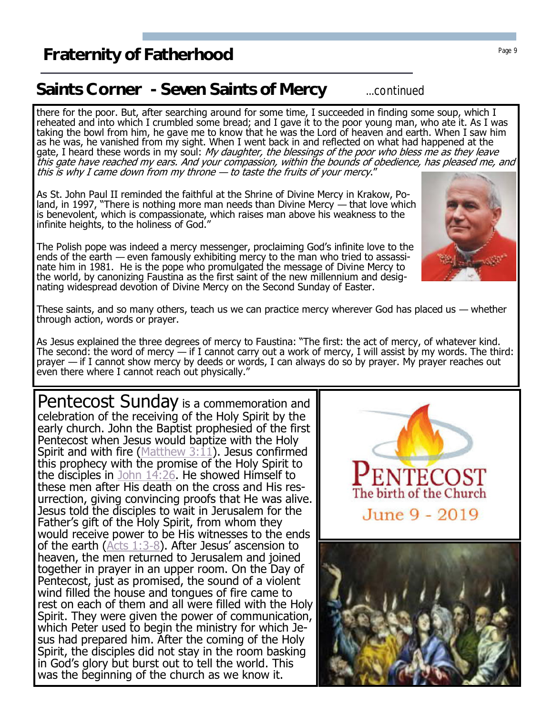# **Saints Corner - Seven Saints of Mercy** ...continued

there for the poor. But, after searching around for some time, I succeeded in finding some soup, which I reheated and into which I crumbled some bread; and I gave it to the poor young man, who ate it. As I was taking the bowl from him, he gave me to know that he was the Lord of heaven and earth. When I saw him as he was, he vanished from my sight. When I went back in and reflected on what had happened at the gate, I heard these words in my soul: *My daughter, the blessings of the poor who bless me as they leave* this gate have reached my ears. And your compassion, within the bounds of obedience, has pleased me, and this is why I came down from my throne — to taste the fruits of your mercy."

As St. John Paul II reminded the faithful at the Shrine of Divine Mercy in Krakow, Poland, in 1997, "There is nothing more man needs than Divine Mercy — that love which is benevolent, which is compassionate, which raises man above his weakness to the infinite heights, to the holiness of God."

The Polish pope was indeed a mercy messenger, proclaiming God's infinite love to the ends of the earth — even famously exhibiting mercy to the man who tried to assassinate him in 1981. He is the pope who promulgated the message of Divine Mercy to the world, by canonizing Faustina as the first saint of the new millennium and designating widespread devotion of Divine Mercy on the Second Sunday of Easter.

These saints, and so many others, teach us we can practice mercy wherever God has placed us — whether through action, words or prayer.

As Jesus explained the three degrees of mercy to Faustina: "The first: the act of mercy, of whatever kind. The second: the word of mercy  $-$  if I cannot carry out a work of mercy, I will assist by my words. The third: prayer — if I cannot show mercy by deeds or words, I can always do so by prayer. My prayer reaches out even there where I cannot reach out physically."

celebration of the receiving of the Holy Spirit by the early church. John the Baptist prophesied of the first Pentecost when Jesus would baptize with the Holy these men after His death on the cross and His resurrection, giving convincing proofs that He was alive. Jesus told the disciples to wait in Jerusalem for the Father's gift of the Holy Spirit, from whom they would receive power to be His witnesses to the ends of the earth ( $Acts$  1:3-8). After Jesus' ascension to heaven, the men returned to Jerusalem and joined together in prayer in an upper room. On the Day of wind filled the house and tongues of fire came to rest on each of them and all were filled with the Holy Spirit. They were given the power of communication, which Peter used to begin the ministry for which Jesus had prepared him. After the coming of the Holy Spirit, the disciples did not stay in the room basking in God's glory but burst out to tell the world. This was the beginning of the church as we know it.







The birth of the Church

June 9 - 2019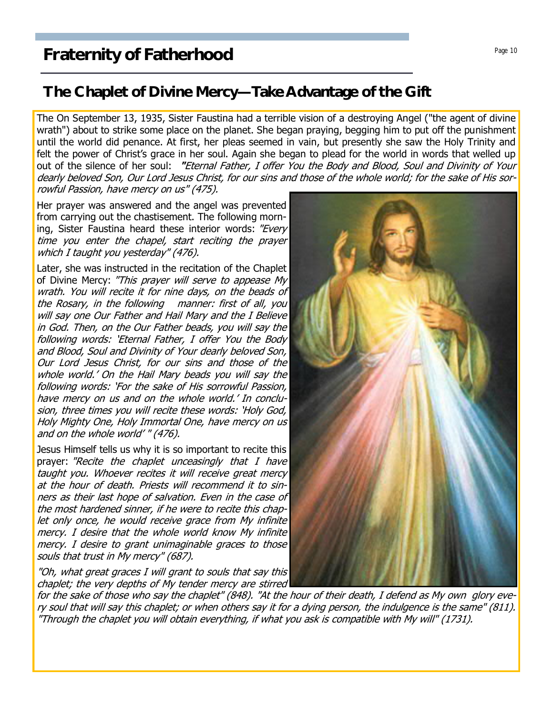### **The Chaplet of Divine Mercy—Take Advantage of the Gift**

The On September 13, 1935, Sister Faustina had a terrible vision of a destroying Angel ("the agent of divine wrath") about to strike some place on the planet. She began praving, begging him to put off the punishment until the world did penance. At first, her pleas seemed in vain, but presently she saw the Holy Trinity and felt the power of Christ's grace in her soul. Again she began to plead for the world in words that welled up out of the silence of her soul: **"**Eternal Father, I offer You the Body and Blood, Soul and Divinity of Your dearly beloved Son, Our Lord Jesus Christ, for our sins and those of the whole world; for the sake of His sorrowful Passion, have mercy on us" (475).

Her prayer was answered and the angel was prevented from carrying out the chastisement. The following morning, Sister Faustina heard these interior words: "Every time you enter the chapel, start reciting the prayer which I taught you yesterday" (476).

Later, she was instructed in the recitation of the Chaplet of Divine Mercy: "This prayer will serve to appease My wrath. You will recite it for nine days, on the beads of the Rosary, in the following manner: first of all, you will say one Our Father and Hail Mary and the I Believe in God. Then, on the Our Father beads, you will say the following words: 'Eternal Father, I offer You the Body and Blood, Soul and Divinity of Your dearly beloved Son, Our Lord Jesus Christ, for our sins and those of the whole world.' On the Hail Mary beads you will say the following words: 'For the sake of His sorrowful Passion, have mercy on us and on the whole world.' In conclusion, three times you will recite these words: 'Holy God, Holy Mighty One, Holy Immortal One, have mercy on us and on the whole world' " (476).

Jesus Himself tells us why it is so important to recite this prayer: "Recite the chaplet unceasingly that I have taught you. Whoever recites it will receive great mercy at the hour of death. Priests will recommend it to sinners as their last hope of salvation. Even in the case of the most hardened sinner, if he were to recite this chaplet only once, he would receive grace from My infinite mercy. I desire that the whole world know My infinite mercy. I desire to grant unimaginable graces to those souls that trust in My mercy" (687).

"Oh, what great graces I will grant to souls that say this chaplet; the very depths of My tender mercy are stirred

for the sake of those who say the chaplet" (848). "At the hour of their death, I defend as My own glory every soul that will say this chaplet; or when others say it for a dying person, the indulgence is the same" (811). "Through the chaplet you will obtain everything, if what you ask is compatible with My will" (1731).